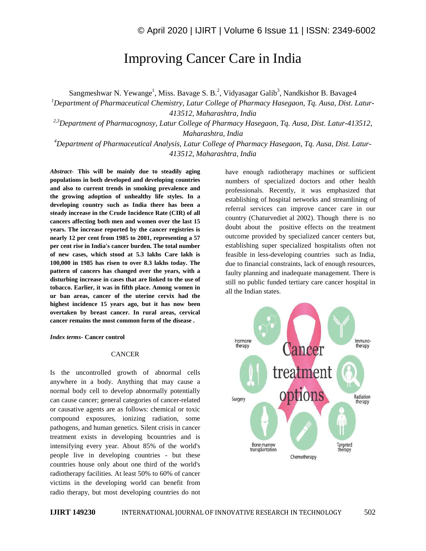# Improving Cancer Care in India

Sangmeshwar N. Yewange<sup>1</sup>, Miss. Bavage S. B.<sup>2</sup>, Vidyasagar Galib<sup>3</sup>, Nandkishor B. Bavage4

*<sup>1</sup>Department of Pharmaceutical Chemistry, Latur College of Pharmacy Hasegaon, Tq. Ausa, Dist. Latur-413512, Maharashtra, India*

*2,3Department of Pharmacognosy, Latur College of Pharmacy Hasegaon, Tq. Ausa, Dist. Latur-413512, Maharashtra, India*

*<sup>4</sup>Department of Pharmaceutical Analysis, Latur College of Pharmacy Hasegaon, Tq. Ausa, Dist. Latur-413512, Maharashtra, India*

*Abstract*- **This will be mainly due to steadily aging populations in both developed and developing countries and also to current trends in smoking prevalence and the growing adoption of unhealthy life styles. In a developing country such as India there has been a steady increase in the Crude Incidence Rate (CIR) of all cancers affecting both men and women over the last 15 years. The increase reported by the cancer registries is nearly 12 per cent from 1985 to 2001, representing a 57 per cent rise in India's cancer burden. The total number of new cases, which stood at 5.3 lakhs Care lakh is 100,000 in 1985 has risen to over 8.3 lakhs today. The pattern of cancers has changed over the years, with a disturbing increase in cases that are linked to the use of tobacco. Earlier, it was in fifth place. Among women in ur ban areas, cancer of the uterine cervix had the highest incidence 15 years ago, but it has now been overtaken by breast cancer. In rural areas, cervical cancer remains the most common form of the disease .**

*Index terms***- Cancer control**

### **CANCER**

Is the uncontrolled growth of abnormal cells anywhere in a body. Anything that may cause a normal body cell to develop abnormally potentially can cause cancer; general categories of cancer-related or causative agents are as follows: chemical or toxic compound exposures, ionizing radiation, some pathogens, and human genetics. Silent crisis in cancer treatment exists in developing bcountries and is intensifying every year. About 85% of the world's people live in developing countries - but these countries house only about one third of the world's radiotherapy facilities. At least 50% to 60% of cancer victims in the developing world can benefit from radio therapy, but most developing countries do not

have enough radiotherapy machines or sufficient numbers of specialized doctors and other health professionals. Recently, it was emphasized that establishing of hospital networks and streamlining of referral services can improve cancer care in our country (Chaturvediet al 2002). Though there is no doubt about the positive effects on the treatment outcome provided by specialized cancer centers but, establishing super specialized hospitalists often not feasible in less-developing countries such as India, due to financial constraints, lack of enough resources, faulty planning and inadequate management. There is still no public funded tertiary care cancer hospital in all the Indian states.

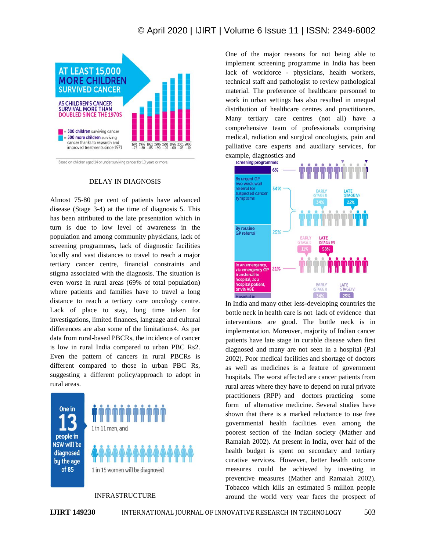

Based on children aged 14 or under surviving cancer for 10 years or more.

### DELAY IN DIAGNOSIS

Almost 75-80 per cent of patients have advanced disease (Stage 3-4) at the time of diagnosis 5. This has been attributed to the late presentation which in turn is due to low level of awareness in the population and among community physicians, lack of screening programmes, lack of diagnostic facilities locally and vast distances to travel to reach a major tertiary cancer centre, financial constraints and stigma associated with the diagnosis. The situation is even worse in rural areas (69% of total population) where patients and families have to travel a long distance to reach a tertiary care oncology centre. Lack of place to stay, long time taken for investigations, limited finances, language and cultural differences are also some of the limitations4. As per data from rural-based PBCRs, the incidence of cancer is low in rural India compared to urban PBC Rs2. Even the pattern of cancers in rural PBCRs is different compared to those in urban PBC Rs, suggesting a different policy/approach to adopt in rural areas.

One in people in **NSW will be** diagnosed by the age of 85



### INFRASTRUCTURE

One of the major reasons for not being able to implement screening programme in India has been lack of workforce - physicians, health workers, technical staff and pathologist to review pathological material. The preference of healthcare personnel to work in urban settings has also resulted in unequal distribution of healthcare centres and practitioners. Many tertiary care centres (not all) have a comprehensive team of professionals comprising medical, radiation and surgical oncologists, pain and palliative care experts and auxiliary services, for example, diagnostics and



In India and many other less-developing countries the bottle neck in health care is not lack of evidence that interventions are good. The bottle neck is in implementation. Moreover, majority of Indian cancer patients have late stage in curable disease when first diagnosed and many are not seen in a hospital (Pal 2002). Poor medical facilities and shortage of doctors as well as medicines is a feature of government hospitals. The worst affected are cancer patients from rural areas where they have to depend on rural private practitioners (RPP) and doctors practicing some form of alternative medicine. Several studies have shown that there is a marked reluctance to use free governmental health facilities even among the poorest section of the Indian society (Mather and Ramaiah 2002). At present in India, over half of the health budget is spent on secondary and tertiary curative services. However, better health outcome measures could be achieved by investing in preventive measures (Mather and Ramaiah 2002). Tobacco which kills an estimated 5 million people around the world very year faces the prospect of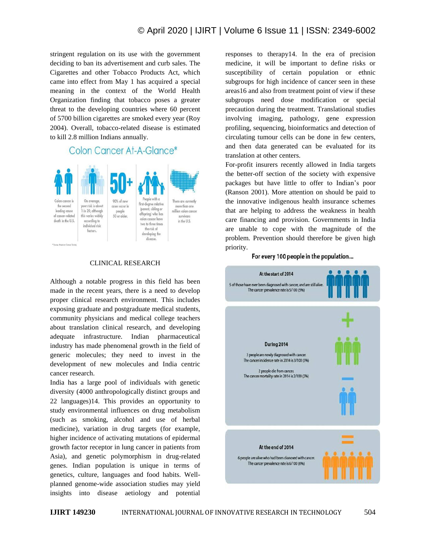stringent regulation on its use with the government deciding to ban its advertisement and curb sales. The Cigarettes and other Tobacco Products Act, which came into effect from May 1 has acquired a special meaning in the context of the World Health Organization finding that tobacco poses a greater threat to the developing countries where 60 percent of 5700 billion cigarettes are smoked every year (Roy 2004). Overall, tobacco-related disease is estimated to kill 2.8 million Indians annually.

# Colon Cancer At-A-Glance\*



## CLINICAL RESEARCH

Although a notable progress in this field has been made in the recent years, there is a need to develop proper clinical research environment. This includes exposing graduate and postgraduate medical students, community physicians and medical college teachers about translation clinical research, and developing adequate infrastructure. Indian pharmaceutical industry has made phenomenal growth in the field of generic molecules; they need to invest in the development of new molecules and India centric cancer research.

India has a large pool of individuals with genetic diversity (4000 anthropologically distinct groups and 22 languages)14. This provides an opportunity to study environmental influences on drug metabolism (such as smoking, alcohol and use of herbal medicine), variation in drug targets (for example, higher incidence of activating mutations of epidermal growth factor receptor in lung cancer in patients from Asia), and genetic polymorphism in drug-related genes. Indian population is unique in terms of genetics, culture, languages and food habits. Wellplanned genome-wide association studies may yield insights into disease aetiology and potential

responses to therapy14. In the era of precision medicine, it will be important to define risks or susceptibility of certain population or ethnic subgroups for high incidence of cancer seen in these areas16 and also from treatment point of view if these subgroups need dose modification or special precaution during the treatment. Translational studies involving imaging, pathology, gene expression profiling, sequencing, bioinformatics and detection of circulating tumour cells can be done in few centers, and then data generated can be evaluated for its translation at other centers.

For-profit insurers recently allowed in India targets the better-off section of the society with expensive packages but have little to offer to Indian's poor (Ranson 2001). More attention on should be paid to the innovative indigenous health insurance schemes that are helping to address the weakness in health care financing and provision. Governments in India are unable to cope with the magnitude of the problem. Prevention should therefore be given high priority.

### For every 100 people in the population...